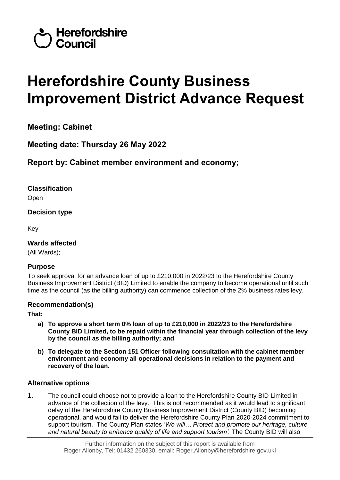

# **Herefordshire County Business Improvement District Advance Request**

**Meeting: Cabinet** 

**Meeting date: Thursday 26 May 2022**

**Report by: Cabinet member environment and economy;** 

**Classification** Open

**Decision type**

Key

**Wards affected**  (All Wards);

# **Purpose**

To seek approval for an advance loan of up to £210,000 in 2022/23 to the Herefordshire County Business Improvement District (BID) Limited to enable the company to become operational until such time as the council (as the billing authority) can commence collection of the 2% business rates levy.

# **Recommendation(s)**

**That:**

- **a) To approve a short term 0% loan of up to £210,000 in 2022/23 to the Herefordshire County BID Limited, to be repaid within the financial year through collection of the levy by the council as the billing authority; and**
- **b) To delegate to the Section 151 Officer following consultation with the cabinet member environment and economy all operational decisions in relation to the payment and recovery of the loan.**

# **Alternative options**

1. The council could choose not to provide a loan to the Herefordshire County BID Limited in advance of the collection of the levy. This is not recommended as it would lead to significant delay of the Herefordshire County Business Improvement District (County BID) becoming operational, and would fail to deliver the Herefordshire County Plan 2020-2024 commitment to support tourism. The County Plan states '*We will… Protect and promote our heritage, culture and natural beauty to enhance quality of life and support tourism'.* The County BID will also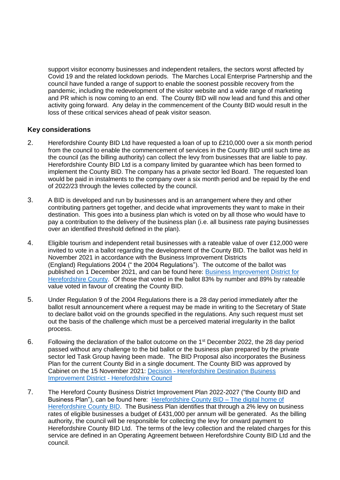support visitor economy businesses and independent retailers, the sectors worst affected by Covid 19 and the related lockdown periods. The Marches Local Enterprise Partnership and the council have funded a range of support to enable the soonest possible recovery from the pandemic, including the redevelopment of the visitor website and a wide range of marketing and PR which is now coming to an end. The County BID will now lead and fund this and other activity going forward. Any delay in the commencement of the County BID would result in the loss of these critical services ahead of peak visitor season.

#### **Key considerations**

- 2. Herefordshire County BID Ltd have requested a loan of up to £210,000 over a six month period from the council to enable the commencement of services in the County BID until such time as the council (as the billing authority) can collect the levy from businesses that are liable to pay. Herefordshire County BID Ltd is a company limited by guarantee which has been formed to implement the County BID. The company has a private sector led Board. The requested loan would be paid in instalments to the company over a six month period and be repaid by the end of 2022/23 through the levies collected by the council.
- 3. A BID is developed and run by businesses and is an arrangement where they and other contributing partners get together, and decide what improvements they want to make in their destination. This goes into a business plan which is voted on by all those who would have to pay a contribution to the delivery of the business plan (i.e. all business rate paying businesses over an identified threshold defined in the plan).
- 4. Eligible tourism and independent retail businesses with a rateable value of over £12,000 were invited to vote in a ballot regarding the development of the County BID. The ballot was held in November 2021 in accordance with the Business Improvement Districts (England) Regulations 2004 (" the 2004 Regulations"). The outcome of the ballot was published on 1 December 2021, and can be found here: [Business Improvement District for](https://www.herefordshire.gov.uk/downloads/file/23129/outcome-of-the-herefordshire-county-business-improvement-district-ballot)  [Herefordshire County.](https://www.herefordshire.gov.uk/downloads/file/23129/outcome-of-the-herefordshire-county-business-improvement-district-ballot) Of those that voted in the ballot 83% by number and 89% by rateable value voted in favour of creating the County BID.
- 5. Under Regulation 9 of the 2004 Regulations there is a 28 day period immediately after the ballot result announcement where a request may be made in writing to the Secretary of State to declare ballot void on the grounds specified in the regulations. Any such request must set out the basis of the challenge which must be a perceived material irregularity in the ballot process.
- 6. Following the declaration of the ballot outcome on the 1st December 2022, the 28 day period passed without any challenge to the bid ballot or the business plan prepared by the private sector led Task Group having been made. The BID Proposal also incorporates the Business Plan for the current County Bid in a single document. The County BID was approved by Cabinet on the 15 November 2021: Decision - [Herefordshire Destination Business](https://councillors.herefordshire.gov.uk/ieDecisionDetails.aspx?ID=8343)  [Improvement District -](https://councillors.herefordshire.gov.uk/ieDecisionDetails.aspx?ID=8343) Herefordshire Council
- 7. The Hereford County Business District Improvement Plan 2022-2027 ("the County BID and Business Plan"), can be found here: [Herefordshire County BID –](https://herefordshirecountybid.co.uk/#downloads) The digital home of [Herefordshire County BID.](https://herefordshirecountybid.co.uk/#downloads) The Business Plan identifies that through a 2% levy on business rates of eligible businesses a budget of £431,000 per annum will be generated. As the billing authority, the council will be responsible for collecting the levy for onward payment to Herefordshire County BID Ltd. The terms of the levy collection and the related charges for this service are defined in an Operating Agreement between Herefordshire County BID Ltd and the council.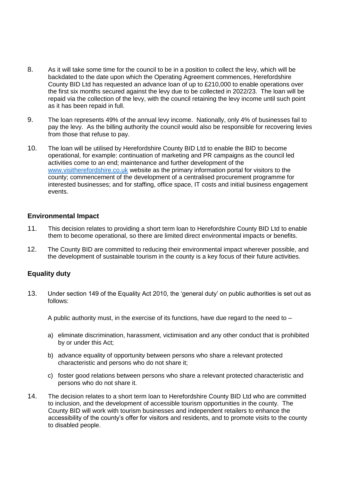- 8. As it will take some time for the council to be in a position to collect the levy, which will be backdated to the date upon which the Operating Agreement commences, Herefordshire County BID Ltd has requested an advance loan of up to £210,000 to enable operations over the first six months secured against the levy due to be collected in 2022/23. The loan will be repaid via the collection of the levy, with the council retaining the levy income until such point as it has been repaid in full.
- 9. The loan represents 49% of the annual levy income. Nationally, only 4% of businesses fail to pay the levy. As the billing authority the council would also be responsible for recovering levies from those that refuse to pay.
- 10. The loan will be utilised by Herefordshire County BID Ltd to enable the BID to become operational, for example: continuation of marketing and PR campaigns as the council led activities come to an end; maintenance and further development of the [www.visitherefordshire.co.uk](http://www.visitherefordshire.co.uk/) website as the primary information portal for visitors to the county; commencement of the development of a centralised procurement programme for interested businesses; and for staffing, office space, IT costs and initial business engagement events.

#### **Environmental Impact**

- 11. This decision relates to providing a short term loan to Herefordshire County BID Ltd to enable them to become operational, so there are limited direct environmental impacts or benefits.
- 12. The County BID are committed to reducing their environmental impact wherever possible, and the development of sustainable tourism in the county is a key focus of their future activities.

#### **Equality duty**

13. Under section 149 of the Equality Act 2010, the 'general duty' on public authorities is set out as follows:

A public authority must, in the exercise of its functions, have due regard to the need to  $-$ 

- a) eliminate discrimination, harassment, victimisation and any other conduct that is prohibited by or under this Act;
- b) advance equality of opportunity between persons who share a relevant protected characteristic and persons who do not share it;
- c) foster good relations between persons who share a relevant protected characteristic and persons who do not share it.
- 14. The decision relates to a short term loan to Herefordshire County BID Ltd who are committed to inclusion, and the development of accessible tourism opportunities in the county. The County BID will work with tourism businesses and independent retailers to enhance the accessibility of the county's offer for visitors and residents, and to promote visits to the county to disabled people.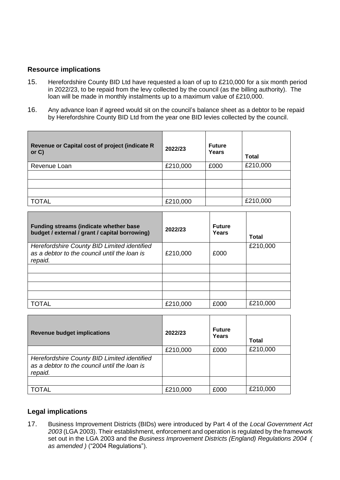#### **Resource implications**

- 15. Herefordshire County BID Ltd have requested a loan of up to £210,000 for a six month period in 2022/23, to be repaid from the levy collected by the council (as the billing authority). The loan will be made in monthly instalments up to a maximum value of £210,000.
- 16. Any advance loan if agreed would sit on the council's balance sheet as a debtor to be repaid by Herefordshire County BID Ltd from the year one BID levies collected by the council.

| Revenue or Capital cost of project (indicate R<br>or $C$ ) | 2022/23  | <b>Future</b><br>Years | <b>Total</b> |
|------------------------------------------------------------|----------|------------------------|--------------|
| Revenue Loan                                               | £210,000 | £000                   | £210,000     |
|                                                            |          |                        |              |
|                                                            |          |                        |              |
|                                                            |          |                        |              |
| <b>TOTAL</b>                                               | £210,000 |                        | £210,000     |

| <b>Funding streams (indicate whether base</b><br>budget / external / grant / capital borrowing)        | 2022/23  | <b>Future</b><br>Years | Total    |
|--------------------------------------------------------------------------------------------------------|----------|------------------------|----------|
| Herefordshire County BID Limited identified<br>as a debtor to the council until the loan is<br>repaid. | £210,000 | £000                   | £210,000 |
|                                                                                                        |          |                        |          |
|                                                                                                        |          |                        |          |
|                                                                                                        |          |                        |          |
|                                                                                                        |          |                        |          |
| TOTAL                                                                                                  | £210,000 | £000                   | £210,000 |

| <b>Revenue budget implications</b>                                                                     | 2022/23  | <b>Future</b><br>Years | <b>Total</b> |
|--------------------------------------------------------------------------------------------------------|----------|------------------------|--------------|
|                                                                                                        | £210,000 | £000                   | £210,000     |
| Herefordshire County BID Limited identified<br>as a debtor to the council until the loan is<br>repaid. |          |                        |              |
|                                                                                                        |          |                        |              |
| <b>TOTAL</b>                                                                                           | £210,000 | £000                   | £210,000     |

# **Legal implications**

17. Business Improvement Districts (BIDs) were introduced by Part 4 of the *[Local Government Act](http://uk.practicallaw.thomsonreuters.com/6-508-2808?originationContext=document&vr=3.0&rs=PLUK1.0&transitionType=PLDocumentLink&contextData=(sc.Default))  [2003](http://uk.practicallaw.thomsonreuters.com/6-508-2808?originationContext=document&vr=3.0&rs=PLUK1.0&transitionType=PLDocumentLink&contextData=(sc.Default))* (LGA 2003). Their establishment, enforcement and operation is regulated by the framework set out in the LGA 2003 and the *[Business Improvement Districts \(England\) Regulations 2004 \(](http://uk.practicallaw.thomsonreuters.com/2-508-9562?originationContext=document&vr=3.0&rs=PLUK1.0&transitionType=PLDocumentLink&contextData=(sc.Default))  [as amended \)](http://uk.practicallaw.thomsonreuters.com/2-508-9562?originationContext=document&vr=3.0&rs=PLUK1.0&transitionType=PLDocumentLink&contextData=(sc.Default))* ("2004 Regulations").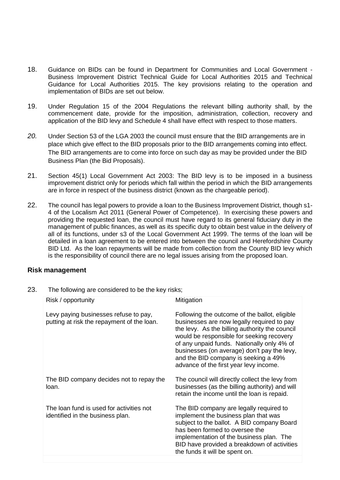- 18. Guidance on BIDs can be found in Department for Communities and Local Government Business Improvement District Technical Guide for Local Authorities 2015 and Technical Guidance for Local Authorities 2015. The key provisions relating to the operation and implementation of BIDs are set out below.
- 19. Under Regulation 15 of the 2004 Regulations the relevant billing authority shall, by the commencement date, provide for the imposition, administration, collection, recovery and application of the BID levy and Schedule 4 shall have effect with respect to those matters.
- *20.* Under Section 53 of the LGA 2003 the council must ensure that the BID arrangements are in place which give effect to the BID proposals prior to the BID arrangements coming into effect. The BID arrangements are to come into force on such day as may be provided under the BID Business Plan (the Bid Proposals).
- 21. Section 45(1) Local Government Act 2003: The BID levy is to be imposed in a business improvement district only for periods which fall within the period in which the BID arrangements are in force in respect of the business district (known as the chargeable period).
- 22. The council has legal powers to provide a loan to the Business Improvement District, though s1- 4 of the Localism Act 2011 (General Power of Competence). In exercising these powers and providing the requested loan, the council must have regard to its general fiduciary duty in the management of public finances, as well as its specific duty to obtain best value in the delivery of all of its functions, under s3 of the Local Government Act 1999. The terms of the loan will be detailed in a loan agreement to be entered into between the council and Herefordshire County BID Ltd. As the loan repayments will be made from collection from the County BID levy which is the responsibility of council there are no legal issues arising from the proposed loan.

#### **Risk management**

23. The following are considered to be the key risks;

| Risk / opportunity                                                                  | Mitigation                                                                                                                                                                                                                                                                                                                                                                |
|-------------------------------------------------------------------------------------|---------------------------------------------------------------------------------------------------------------------------------------------------------------------------------------------------------------------------------------------------------------------------------------------------------------------------------------------------------------------------|
| Levy paying businesses refuse to pay,<br>putting at risk the repayment of the loan. | Following the outcome of the ballot, eligible<br>businesses are now legally required to pay<br>the levy. As the billing authority the council<br>would be responsible for seeking recovery<br>of any unpaid funds. Nationally only 4% of<br>businesses (on average) don't pay the levy,<br>and the BID company is seeking a 49%<br>advance of the first year levy income. |
| The BID company decides not to repay the<br>loan.                                   | The council will directly collect the levy from<br>businesses (as the billing authority) and will<br>retain the income until the loan is repaid.                                                                                                                                                                                                                          |
| The loan fund is used for activities not<br>identified in the business plan.        | The BID company are legally required to<br>implement the business plan that was<br>subject to the ballot. A BID company Board<br>has been formed to oversee the<br>implementation of the business plan. The<br>BID have provided a breakdown of activities<br>the funds it will be spent on.                                                                              |